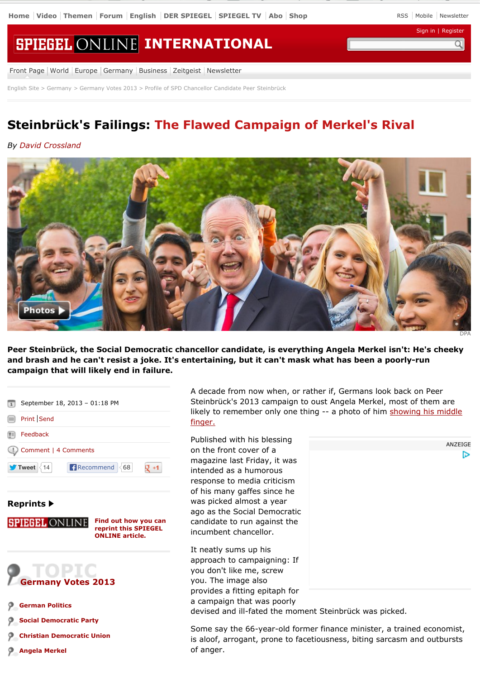Sign in | Register

# **SPIEGEL ONLINE INTERNATIONAL**

Front Page | World | Europe | Germany | Business | Zeitgeist | Newsletter

English Site > Germany > Germany Votes 2013 > Profile of SPD Chancellor Candidate Peer Steinbrück

## **Steinbrück's Failings: The Flawed Campaign of Merkel's Rival**

### *By David Crossland*



**Peer Steinbrück, the Social Democratic chancellor candidate, is everything Angela Merkel isn't: He's cheeky and brash and he can't resist a joke. It's entertaining, but it can't mask what has been a poorly-run campaign that will likely end in failure.**



#### **Reprints**

**Find out how you can SPIEGEL ONLINE reprint this SPIEGEL ONLINE article.**

TOPIC **Germany Votes 2013**

- **German Politics**
- **Social Democratic Party**
- **Christian Democratic Union**
- **Angela Merkel**

A decade from now when, or rather if, Germans look back on Peer Steinbrück's 2013 campaign to oust Angela Merkel, most of them are likely to remember only one thing -- a photo of him showing his middle finger.

Published with his blessing on the front cover of a magazine last Friday, it was intended as a humorous response to media criticism of his many gaffes since he was picked almost a year ago as the Social Democratic candidate to run against the incumbent chancellor.

It neatly sums up his approach to campaigning: If you don't like me, screw you. The image also provides a fitting epitaph for a campaign that was poorly devised and ill-fated the moment Steinbrück was picked.

Some say the 66-year-old former finance minister, a trained economist, is aloof, arrogant, prone to facetiousness, biting sarcasm and outbursts of anger.

ANZEIGE d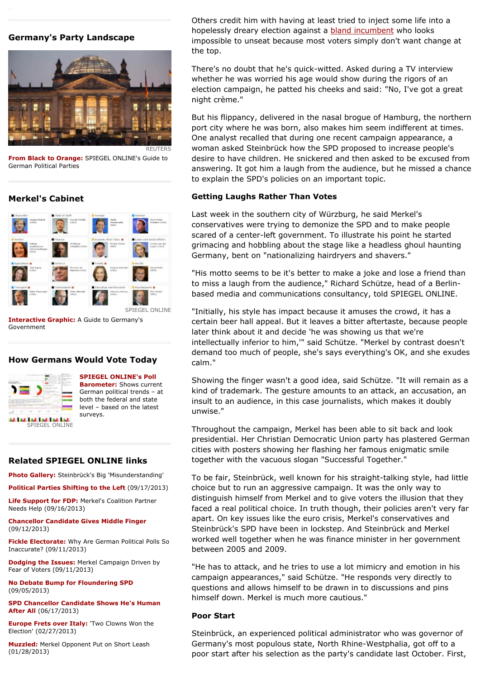#### **Germany's Party Landscape**



**From Black to Orange:** SPIEGEL ONLINE's Guide to German Political Parties

#### **Merkel's Cabinet**



**Interactive Graphic:** A Guide to Germany's Government

#### **How Germans Would Vote Today**



**SPIEGEL ONLINE's Poll Barometer:** Shows current German political trends – at both the federal and state level – based on the latest surveys.

#### **Related SPIEGEL ONLINE links**

**Photo Gallery:** Steinbrück's Big 'Misunderstanding'

**Political Parties Shifting to the Left** (09/17/2013)

**Life Support for FDP:** Merkel's Coalition Partner Needs Help (09/16/2013)

**Chancellor Candidate Gives Middle Finger** (09/12/2013)

**Fickle Electorate:** Why Are German Political Polls So Inaccurate? (09/11/2013)

**Dodging the Issues:** Merkel Campaign Driven by Fear of Voters (09/11/2013)

**No Debate Bump for Floundering SPD** (09/05/2013)

**SPD Chancellor Candidate Shows He's Human After All** (06/17/2013)

**Europe Frets over Italy:** 'Two Clowns Won the Election' (02/27/2013)

**Muzzled:** Merkel Opponent Put on Short Leash (01/28/2013)

Others credit him with having at least tried to inject some life into a hopelessly dreary election against a **bland incumbent** who looks impossible to unseat because most voters simply don't want change at the top.

There's no doubt that he's quick-witted. Asked during a TV interview whether he was worried his age would show during the rigors of an election campaign, he patted his cheeks and said: "No, I've got a great night crème."

But his flippancy, delivered in the nasal brogue of Hamburg, the northern port city where he was born, also makes him seem indifferent at times. One analyst recalled that during one recent campaign appearance, a woman asked Steinbrück how the SPD proposed to increase people's desire to have children. He snickered and then asked to be excused from answering. It got him a laugh from the audience, but he missed a chance to explain the SPD's policies on an important topic.

#### **Getting Laughs Rather Than Votes**

Last week in the southern city of Würzburg, he said Merkel's conservatives were trying to demonize the SPD and to make people scared of a center-left government. To illustrate his point he started grimacing and hobbling about the stage like a headless ghoul haunting Germany, bent on "nationalizing hairdryers and shavers."

"His motto seems to be it's better to make a joke and lose a friend than to miss a laugh from the audience," Richard Schütze, head of a Berlinbased media and communications consultancy, told SPIEGEL ONLINE.

"Initially, his style has impact because it amuses the crowd, it has a certain beer hall appeal. But it leaves a bitter aftertaste, because people later think about it and decide 'he was showing us that we're intellectually inferior to him,'" said Schütze. "Merkel by contrast doesn't demand too much of people, she's says everything's OK, and she exudes calm."

Showing the finger wasn't a good idea, said Schütze. "It will remain as a kind of trademark. The gesture amounts to an attack, an accusation, an insult to an audience, in this case journalists, which makes it doubly unwise."

Throughout the campaign, Merkel has been able to sit back and look presidential. Her Christian Democratic Union party has plastered German cities with posters showing her flashing her famous enigmatic smile together with the vacuous slogan "Successful Together."

To be fair, Steinbrück, well known for his straight-talking style, had little choice but to run an aggressive campaign. It was the only way to distinguish himself from Merkel and to give voters the illusion that they faced a real political choice. In truth though, their policies aren't very far apart. On key issues like the euro crisis, Merkel's conservatives and Steinbrück's SPD have been in lockstep. And Steinbrück and Merkel worked well together when he was finance minister in her government between 2005 and 2009.

"He has to attack, and he tries to use a lot mimicry and emotion in his campaign appearances," said Schütze. "He responds very directly to questions and allows himself to be drawn in to discussions and pins himself down. Merkel is much more cautious."

#### **Poor Start**

Steinbrück, an experienced political administrator who was governor of Germany's most populous state, North Rhine-Westphalia, got off to a poor start after his selection as the party's candidate last October. First,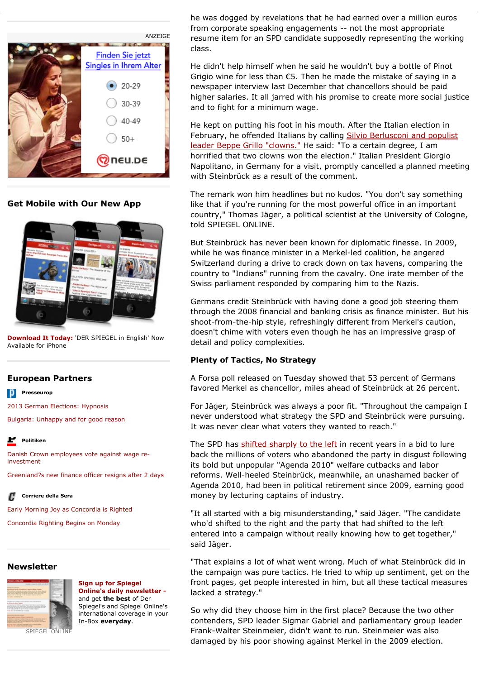

**Get Mobile with Our New App**



**Download It Today:** 'DER SPIEGEL in English' Now Available for iPhone

#### **European Partners**

**Presseurop** 

2013 German Elections: Hypnosis

Bulgaria: Unhappy and for good reason

#### r **Politiken**

Danish Crown employees vote against wage reinvestment

Greenland?s new finance officer resigns after 2 days

F **Corriere della Sera**

Early Morning Joy as Concordia is Righted

Concordia Righting Begins on Monday

#### **Newsletter**



**Sign up for Spiegel Online's daily newsletter**  and get **the best** of Der Spiegel's and Spiegel Online's international coverage in your In-Box **everyday**.

he was dogged by revelations that he had earned over a million euros from corporate speaking engagements -- not the most appropriate resume item for an SPD candidate supposedly representing the working class.

poor start after his selection as the party's candidate last October. First,

He didn't help himself when he said he wouldn't buy a bottle of Pinot Grigio wine for less than €5. Then he made the mistake of saying in a newspaper interview last December that chancellors should be paid higher salaries. It all jarred with his promise to create more social justice and to fight for a minimum wage.

He kept on putting his foot in his mouth. After the Italian election in February, he offended Italians by calling Silvio Berlusconi and populist leader Beppe Grillo "clowns." He said: "To a certain degree, I am horrified that two clowns won the election." Italian President Giorgio Napolitano, in Germany for a visit, promptly cancelled a planned meeting with Steinbrück as a result of the comment.

The remark won him headlines but no kudos. "You don't say something like that if you're running for the most powerful office in an important country," Thomas Jäger, a political scientist at the University of Cologne, told SPIEGEL ONLINE.

But Steinbrück has never been known for diplomatic finesse. In 2009, while he was finance minister in a Merkel-led coalition, he angered Switzerland during a drive to crack down on tax havens, comparing the country to "Indians" running from the cavalry. One irate member of the Swiss parliament responded by comparing him to the Nazis.

Germans credit Steinbrück with having done a good job steering them through the 2008 financial and banking crisis as finance minister. But his shoot-from-the-hip style, refreshingly different from Merkel's caution, doesn't chime with voters even though he has an impressive grasp of detail and policy complexities.

#### **Plenty of Tactics, No Strategy**

A Forsa poll released on Tuesday showed that 53 percent of Germans favored Merkel as chancellor, miles ahead of Steinbrück at 26 percent.

For Jäger, Steinbrück was always a poor fit. "Throughout the campaign I never understood what strategy the SPD and Steinbrück were pursuing. It was never clear what voters they wanted to reach."

The SPD has shifted sharply to the left in recent years in a bid to lure back the millions of voters who abandoned the party in disgust following its bold but unpopular "Agenda 2010" welfare cutbacks and labor reforms. Well-heeled Steinbrück, meanwhile, an unashamed backer of Agenda 2010, had been in political retirement since 2009, earning good money by lecturing captains of industry.

"It all started with a big misunderstanding," said Jäger. "The candidate who'd shifted to the right and the party that had shifted to the left entered into a campaign without really knowing how to get together," said Jäger.

"That explains a lot of what went wrong. Much of what Steinbrück did in the campaign was pure tactics. He tried to whip up sentiment, get on the front pages, get people interested in him, but all these tactical measures lacked a strategy."

So why did they choose him in the first place? Because the two other contenders, SPD leader Sigmar Gabriel and parliamentary group leader Frank-Walter Steinmeier, didn't want to run. Steinmeier was also damaged by his poor showing against Merkel in the 2009 election.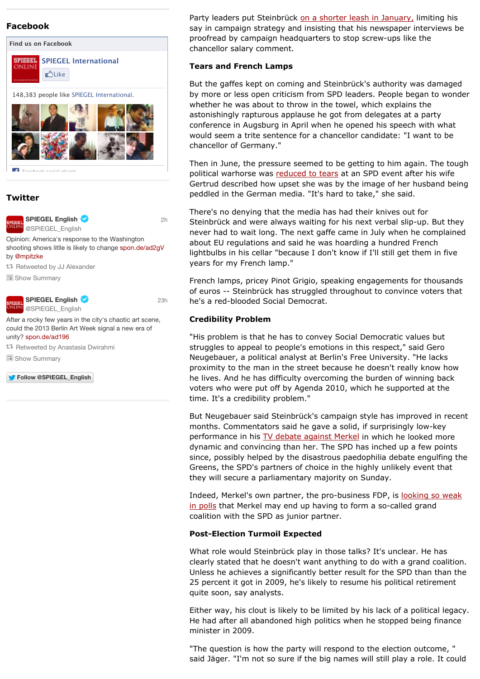#### **Facebook**



#### **Twitter**



Party leaders put Steinbrück on a shorter leash in January, limiting his say in campaign strategy and insisting that his newspaper interviews be proofread by campaign headquarters to stop screw-ups like the chancellor salary comment.

#### **Tears and French Lamps**

But the gaffes kept on coming and Steinbrück's authority was damaged by more or less open criticism from SPD leaders. People began to wonder whether he was about to throw in the towel, which explains the astonishingly rapturous applause he got from delegates at a party conference in Augsburg in April when he opened his speech with what would seem a trite sentence for a chancellor candidate: "I want to be chancellor of Germany."

Then in June, the pressure seemed to be getting to him again. The tough political warhorse was reduced to tears at an SPD event after his wife Gertrud described how upset she was by the image of her husband being peddled in the German media. "It's hard to take," she said.

There's no denying that the media has had their knives out for Steinbrück and were always waiting for his next verbal slip-up. But they never had to wait long. The next gaffe came in July when he complained about EU regulations and said he was hoarding a hundred French lightbulbs in his cellar "because I don't know if I'll still get them in five years for my French lamp."

French lamps, pricey Pinot Grigio, speaking engagements for thousands of euros -- Steinbrück has struggled throughout to convince voters that he's a red-blooded Social Democrat.

#### **Credibility Problem**

"His problem is that he has to convey Social Democratic values but struggles to appeal to people's emotions in this respect," said Gero Neugebauer, a political analyst at Berlin's Free University. "He lacks proximity to the man in the street because he doesn't really know how he lives. And he has difficulty overcoming the burden of winning back voters who were put off by Agenda 2010, which he supported at the time. It's a credibility problem."

But Neugebauer said Steinbrück's campaign style has improved in recent months. Commentators said he gave a solid, if surprisingly low-key performance in his TV debate against Merkel in which he looked more dynamic and convincing than her. The SPD has inched up a few points since, possibly helped by the disastrous paedophilia debate engulfing the Greens, the SPD's partners of choice in the highly unlikely event that they will secure a parliamentary majority on Sunday.

Indeed, Merkel's own partner, the pro-business FDP, is looking so weak in polls that Merkel may end up having to form a so-called grand coalition with the SPD as junior partner.

#### **Post-Election Turmoil Expected**

What role would Steinbrück play in those talks? It's unclear. He has clearly stated that he doesn't want anything to do with a grand coalition. Unless he achieves a significantly better result for the SPD than than the 25 percent it got in 2009, he's likely to resume his political retirement quite soon, say analysts.

Either way, his clout is likely to be limited by his lack of a political legacy. He had after all abandoned high politics when he stopped being finance minister in 2009.

"The question is how the party will respond to the election outcome, " said Jäger. "I'm not so sure if the big names will still play a role. It could